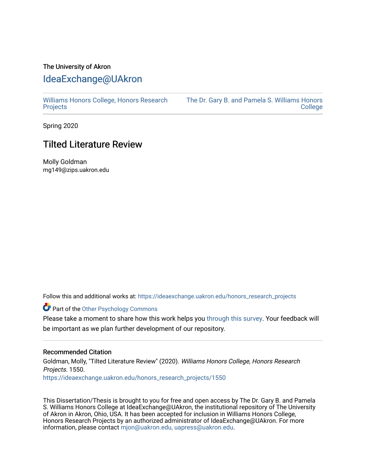## The University of Akron [IdeaExchange@UAkron](https://ideaexchange.uakron.edu/)

[Williams Honors College, Honors Research](https://ideaexchange.uakron.edu/honors_research_projects)  **[Projects](https://ideaexchange.uakron.edu/honors_research_projects)** 

[The Dr. Gary B. and Pamela S. Williams Honors](https://ideaexchange.uakron.edu/honorscollege_ideas)  **College** 

Spring 2020

# Tilted Literature Review

Molly Goldman mg149@zips.uakron.edu

Follow this and additional works at: [https://ideaexchange.uakron.edu/honors\\_research\\_projects](https://ideaexchange.uakron.edu/honors_research_projects?utm_source=ideaexchange.uakron.edu%2Fhonors_research_projects%2F1550&utm_medium=PDF&utm_campaign=PDFCoverPages) 

Part of the [Other Psychology Commons](http://network.bepress.com/hgg/discipline/415?utm_source=ideaexchange.uakron.edu%2Fhonors_research_projects%2F1550&utm_medium=PDF&utm_campaign=PDFCoverPages) 

Please take a moment to share how this work helps you [through this survey](http://survey.az1.qualtrics.com/SE/?SID=SV_eEVH54oiCbOw05f&URL=https://ideaexchange.uakron.edu/honors_research_projects/1550). Your feedback will be important as we plan further development of our repository.

#### Recommended Citation

Goldman, Molly, "Tilted Literature Review" (2020). Williams Honors College, Honors Research Projects. 1550.

[https://ideaexchange.uakron.edu/honors\\_research\\_projects/1550](https://ideaexchange.uakron.edu/honors_research_projects/1550?utm_source=ideaexchange.uakron.edu%2Fhonors_research_projects%2F1550&utm_medium=PDF&utm_campaign=PDFCoverPages) 

This Dissertation/Thesis is brought to you for free and open access by The Dr. Gary B. and Pamela S. Williams Honors College at IdeaExchange@UAkron, the institutional repository of The University of Akron in Akron, Ohio, USA. It has been accepted for inclusion in Williams Honors College, Honors Research Projects by an authorized administrator of IdeaExchange@UAkron. For more information, please contact [mjon@uakron.edu, uapress@uakron.edu.](mailto:mjon@uakron.edu,%20uapress@uakron.edu)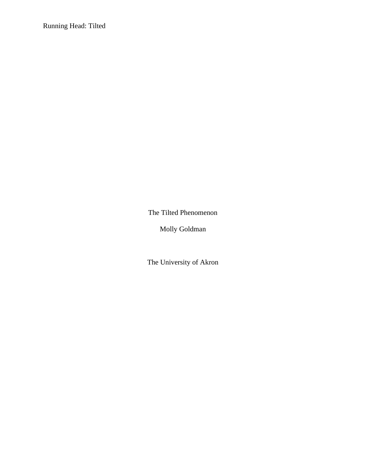Running Head: Tilted

The Tilted Phenomenon

Molly Goldman

The University of Akron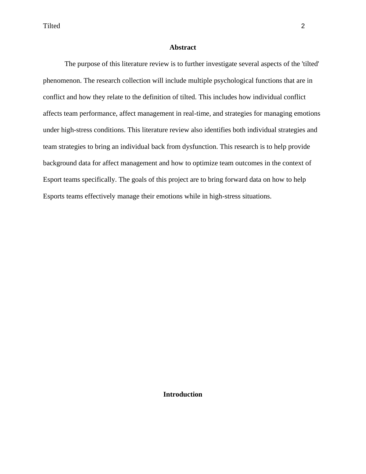## **Abstract**

The purpose of this literature review is to further investigate several aspects of the 'tilted' phenomenon. The research collection will include multiple psychological functions that are in conflict and how they relate to the definition of tilted. This includes how individual conflict affects team performance, affect management in real-time, and strategies for managing emotions under high-stress conditions. This literature review also identifies both individual strategies and team strategies to bring an individual back from dysfunction. This research is to help provide background data for affect management and how to optimize team outcomes in the context of Esport teams specifically. The goals of this project are to bring forward data on how to help Esports teams effectively manage their emotions while in high-stress situations.

## **Introduction**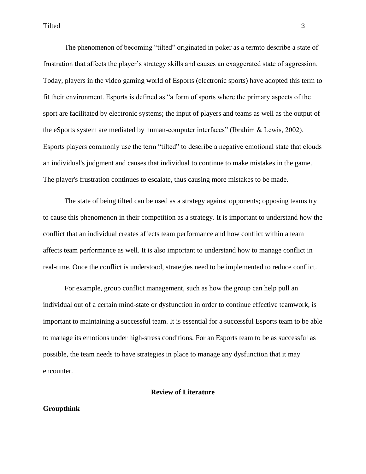The phenomenon of becoming "tilted" originated in poker as a termto describe a state of frustration that affects the player's strategy skills and causes an exaggerated state of aggression. Today, players in the video gaming world of Esports (electronic sports) have adopted this term to fit their environment. Esports is defined as "a form of sports where the primary aspects of the sport are facilitated by electronic systems; the input of players and teams as well as the output of the eSports system are mediated by human-computer interfaces" (Ibrahim & Lewis, 2002). Esports players commonly use the term "tilted" to describe a negative emotional state that clouds an individual's judgment and causes that individual to continue to make mistakes in the game. The player's frustration continues to escalate, thus causing more mistakes to be made.

The state of being tilted can be used as a strategy against opponents; opposing teams try to cause this phenomenon in their competition as a strategy. It is important to understand how the conflict that an individual creates affects team performance and how conflict within a team affects team performance as well. It is also important to understand how to manage conflict in real-time. Once the conflict is understood, strategies need to be implemented to reduce conflict.

For example, group conflict management, such as how the group can help pull an individual out of a certain mind-state or dysfunction in order to continue effective teamwork, is important to maintaining a successful team. It is essential for a successful Esports team to be able to manage its emotions under high-stress conditions. For an Esports team to be as successful as possible, the team needs to have strategies in place to manage any dysfunction that it may encounter.

#### **Review of Literature**

## **Groupthink**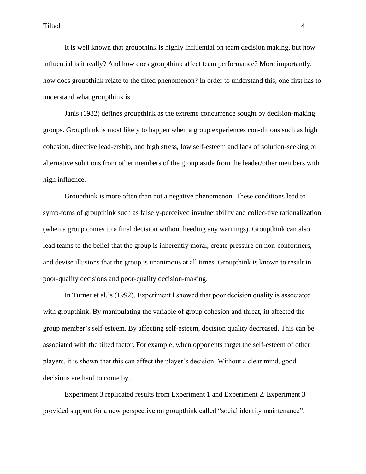It is well known that groupthink is highly influential on team decision making, but how influential is it really? And how does groupthink affect team performance? More importantly, how does groupthink relate to the tilted phenomenon? In order to understand this, one first has to understand what groupthink is.

Janis (1982) defines groupthink as the extreme concurrence sought by decision-making groups. Groupthink is most likely to happen when a group experiences con-ditions such as high cohesion, directive lead-ership, and high stress, low self-esteem and lack of solution-seeking or alternative solutions from other members of the group aside from the leader/other members with high influence.

Groupthink is more often than not a negative phenomenon. These conditions lead to symp-toms of groupthink such as falsely-perceived invulnerability and collec-tive rationalization (when a group comes to a final decision without heeding any warnings). Groupthink can also lead teams to the belief that the group is inherently moral, create pressure on non-conformers, and devise illusions that the group is unanimous at all times. Groupthink is known to result in poor-quality decisions and poor-quality decision-making.

In Turner et al.'s (1992), Experiment l showed that poor decision quality is associated with groupthink. By manipulating the variable of group cohesion and threat, itt affected the group member's self-esteem. By affecting self-esteem, decision quality decreased. This can be associated with the tilted factor. For example, when opponents target the self-esteem of other players, it is shown that this can affect the player's decision. Without a clear mind, good decisions are hard to come by.

Experiment 3 replicated results from Experiment 1 and Experiment 2. Experiment 3 provided support for a new perspective on groupthink called "social identity maintenance".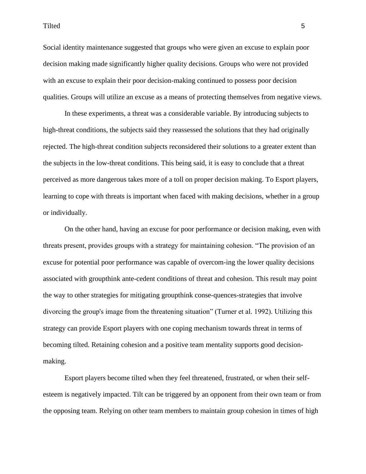Social identity maintenance suggested that groups who were given an excuse to explain poor decision making made significantly higher quality decisions. Groups who were not provided with an excuse to explain their poor decision-making continued to possess poor decision qualities. Groups will utilize an excuse as a means of protecting themselves from negative views.

In these experiments, a threat was a considerable variable. By introducing subjects to high-threat conditions, the subjects said they reassessed the solutions that they had originally rejected. The high-threat condition subjects reconsidered their solutions to a greater extent than the subjects in the low-threat conditions. This being said, it is easy to conclude that a threat perceived as more dangerous takes more of a toll on proper decision making. To Esport players, learning to cope with threats is important when faced with making decisions, whether in a group or individually.

On the other hand, having an excuse for poor performance or decision making, even with threats present, provides groups with a strategy for maintaining cohesion. "The provision of an excuse for potential poor performance was capable of overcom-ing the lower quality decisions associated with groupthink ante-cedent conditions of threat and cohesion. This result may point the way to other strategies for mitigating groupthink conse-quences-strategies that involve divorcing the group's image from the threatening situation" (Turner et al. 1992). Utilizing this strategy can provide Esport players with one coping mechanism towards threat in terms of becoming tilted. Retaining cohesion and a positive team mentality supports good decisionmaking.

Esport players become tilted when they feel threatened, frustrated, or when their selfesteem is negatively impacted. Tilt can be triggered by an opponent from their own team or from the opposing team. Relying on other team members to maintain group cohesion in times of high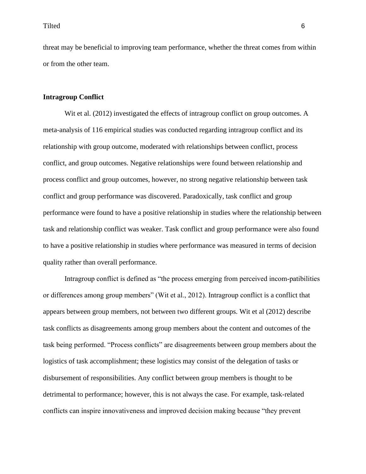threat may be beneficial to improving team performance, whether the threat comes from within or from the other team.

#### **Intragroup Conflict**

Wit et al. (2012) investigated the effects of intragroup conflict on group outcomes. A meta-analysis of 116 empirical studies was conducted regarding intragroup conflict and its relationship with group outcome, moderated with relationships between conflict, process conflict, and group outcomes. Negative relationships were found between relationship and process conflict and group outcomes, however, no strong negative relationship between task conflict and group performance was discovered. Paradoxically, task conflict and group performance were found to have a positive relationship in studies where the relationship between task and relationship conflict was weaker. Task conflict and group performance were also found to have a positive relationship in studies where performance was measured in terms of decision quality rather than overall performance.

Intragroup conflict is defined as "the process emerging from perceived incom-patibilities or differences among group members" (Wit et al., 2012). Intragroup conflict is a conflict that appears between group members, not between two different groups. Wit et al (2012) describe task conflicts as disagreements among group members about the content and outcomes of the task being performed. "Process conflicts" are disagreements between group members about the logistics of task accomplishment; these logistics may consist of the delegation of tasks or disbursement of responsibilities. Any conflict between group members is thought to be detrimental to performance; however, this is not always the case. For example, task-related conflicts can inspire innovativeness and improved decision making because "they prevent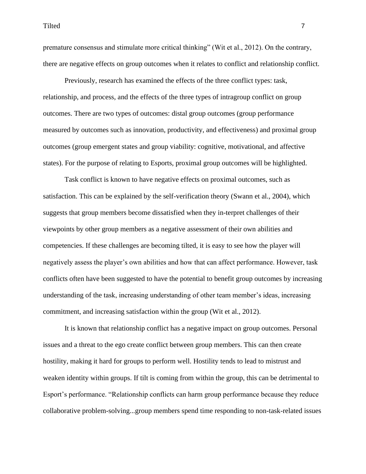Tilted and the contract of the contract of the contract of the contract of the contract of the contract of the contract of the contract of the contract of the contract of the contract of the contract of the contract of the

premature consensus and stimulate more critical thinking" (Wit et al., 2012). On the contrary, there are negative effects on group outcomes when it relates to conflict and relationship conflict.

Previously, research has examined the effects of the three conflict types: task, relationship, and process, and the effects of the three types of intragroup conflict on group outcomes. There are two types of outcomes: distal group outcomes (group performance measured by outcomes such as innovation, productivity, and effectiveness) and proximal group outcomes (group emergent states and group viability: cognitive, motivational, and affective states). For the purpose of relating to Esports, proximal group outcomes will be highlighted.

Task conflict is known to have negative effects on proximal outcomes, such as satisfaction. This can be explained by the self-verification theory (Swann et al., 2004), which suggests that group members become dissatisfied when they in-terpret challenges of their viewpoints by other group members as a negative assessment of their own abilities and competencies. If these challenges are becoming tilted, it is easy to see how the player will negatively assess the player's own abilities and how that can affect performance. However, task conflicts often have been suggested to have the potential to benefit group outcomes by increasing understanding of the task, increasing understanding of other team member's ideas, increasing commitment, and increasing satisfaction within the group (Wit et al., 2012).

It is known that relationship conflict has a negative impact on group outcomes. Personal issues and a threat to the ego create conflict between group members. This can then create hostility, making it hard for groups to perform well. Hostility tends to lead to mistrust and weaken identity within groups. If tilt is coming from within the group, this can be detrimental to Esport's performance. "Relationship conflicts can harm group performance because they reduce collaborative problem-solving...group members spend time responding to non-task-related issues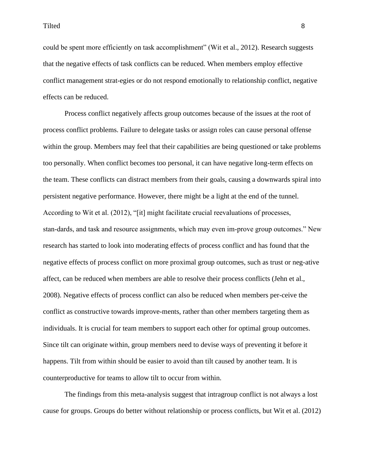could be spent more efficiently on task accomplishment" (Wit et al., 2012). Research suggests that the negative effects of task conflicts can be reduced. When members employ effective conflict management strat-egies or do not respond emotionally to relationship conflict, negative effects can be reduced.

Process conflict negatively affects group outcomes because of the issues at the root of process conflict problems. Failure to delegate tasks or assign roles can cause personal offense within the group. Members may feel that their capabilities are being questioned or take problems too personally. When conflict becomes too personal, it can have negative long-term effects on the team. These conflicts can distract members from their goals, causing a downwards spiral into persistent negative performance. However, there might be a light at the end of the tunnel. According to Wit et al. (2012), "[it] might facilitate crucial reevaluations of processes, stan-dards, and task and resource assignments, which may even im-prove group outcomes." New research has started to look into moderating effects of process conflict and has found that the negative effects of process conflict on more proximal group outcomes, such as trust or neg-ative affect, can be reduced when members are able to resolve their process conflicts (Jehn et al., 2008). Negative effects of process conflict can also be reduced when members per-ceive the conflict as constructive towards improve-ments, rather than other members targeting them as individuals. It is crucial for team members to support each other for optimal group outcomes. Since tilt can originate within, group members need to devise ways of preventing it before it happens. Tilt from within should be easier to avoid than tilt caused by another team. It is counterproductive for teams to allow tilt to occur from within.

The findings from this meta-analysis suggest that intragroup conflict is not always a lost cause for groups. Groups do better without relationship or process conflicts, but Wit et al. (2012)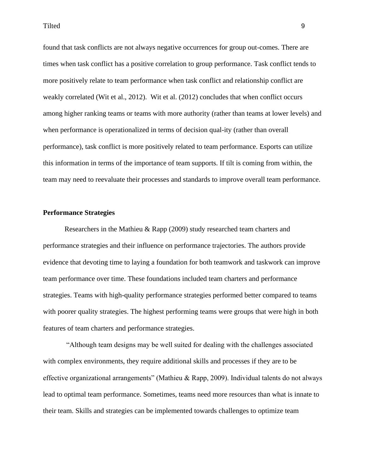found that task conflicts are not always negative occurrences for group out-comes. There are times when task conflict has a positive correlation to group performance. Task conflict tends to more positively relate to team performance when task conflict and relationship conflict are weakly correlated (Wit et al., 2012). Wit et al. (2012) concludes that when conflict occurs among higher ranking teams or teams with more authority (rather than teams at lower levels) and when performance is operationalized in terms of decision qual-ity (rather than overall performance), task conflict is more positively related to team performance. Esports can utilize this information in terms of the importance of team supports. If tilt is coming from within, the team may need to reevaluate their processes and standards to improve overall team performance.

#### **Performance Strategies**

Researchers in the Mathieu & Rapp (2009) study researched team charters and performance strategies and their influence on performance trajectories. The authors provide evidence that devoting time to laying a foundation for both teamwork and taskwork can improve team performance over time. These foundations included team charters and performance strategies. Teams with high-quality performance strategies performed better compared to teams with poorer quality strategies. The highest performing teams were groups that were high in both features of team charters and performance strategies.

"Although team designs may be well suited for dealing with the challenges associated with complex environments, they require additional skills and processes if they are to be effective organizational arrangements" (Mathieu & Rapp, 2009). Individual talents do not always lead to optimal team performance. Sometimes, teams need more resources than what is innate to their team. Skills and strategies can be implemented towards challenges to optimize team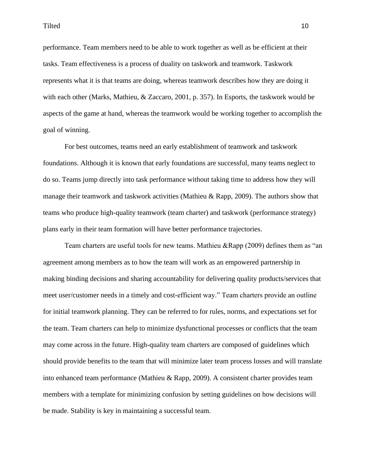performance. Team members need to be able to work together as well as be efficient at their tasks. Team effectiveness is a process of duality on taskwork and teamwork. Taskwork represents what it is that teams are doing, whereas teamwork describes how they are doing it with each other (Marks, Mathieu, & Zaccaro, 2001, p. 357). In Esports, the taskwork would be aspects of the game at hand, whereas the teamwork would be working together to accomplish the goal of winning.

For best outcomes, teams need an early establishment of teamwork and taskwork foundations. Although it is known that early foundations are successful, many teams neglect to do so. Teams jump directly into task performance without taking time to address how they will manage their teamwork and taskwork activities (Mathieu & Rapp, 2009). The authors show that teams who produce high-quality teamwork (team charter) and taskwork (performance strategy) plans early in their team formation will have better performance trajectories.

Team charters are useful tools for new teams. Mathieu &Rapp (2009) defines them as "an agreement among members as to how the team will work as an empowered partnership in making binding decisions and sharing accountability for delivering quality products/services that meet user/customer needs in a timely and cost-efficient way." Team charters provide an outline for initial teamwork planning. They can be referred to for rules, norms, and expectations set for the team. Team charters can help to minimize dysfunctional processes or conflicts that the team may come across in the future. High-quality team charters are composed of guidelines which should provide benefits to the team that will minimize later team process losses and will translate into enhanced team performance (Mathieu & Rapp, 2009). A consistent charter provides team members with a template for minimizing confusion by setting guidelines on how decisions will be made. Stability is key in maintaining a successful team.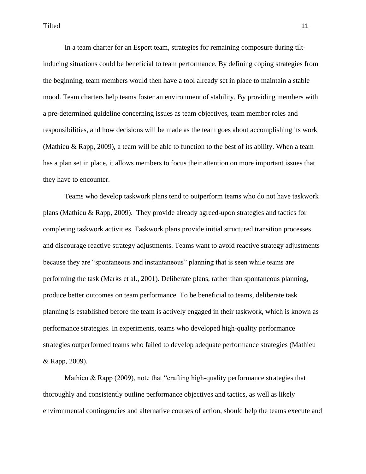In a team charter for an Esport team, strategies for remaining composure during tiltinducing situations could be beneficial to team performance. By defining coping strategies from the beginning, team members would then have a tool already set in place to maintain a stable mood. Team charters help teams foster an environment of stability. By providing members with a pre-determined guideline concerning issues as team objectives, team member roles and responsibilities, and how decisions will be made as the team goes about accomplishing its work (Mathieu & Rapp, 2009), a team will be able to function to the best of its ability. When a team has a plan set in place, it allows members to focus their attention on more important issues that they have to encounter.

Teams who develop taskwork plans tend to outperform teams who do not have taskwork plans (Mathieu & Rapp, 2009). They provide already agreed-upon strategies and tactics for completing taskwork activities. Taskwork plans provide initial structured transition processes and discourage reactive strategy adjustments. Teams want to avoid reactive strategy adjustments because they are "spontaneous and instantaneous" planning that is seen while teams are performing the task (Marks et al., 2001). Deliberate plans, rather than spontaneous planning, produce better outcomes on team performance. To be beneficial to teams, deliberate task planning is established before the team is actively engaged in their taskwork, which is known as performance strategies. In experiments, teams who developed high-quality performance strategies outperformed teams who failed to develop adequate performance strategies (Mathieu & Rapp, 2009).

Mathieu & Rapp (2009), note that "crafting high-quality performance strategies that thoroughly and consistently outline performance objectives and tactics, as well as likely environmental contingencies and alternative courses of action, should help the teams execute and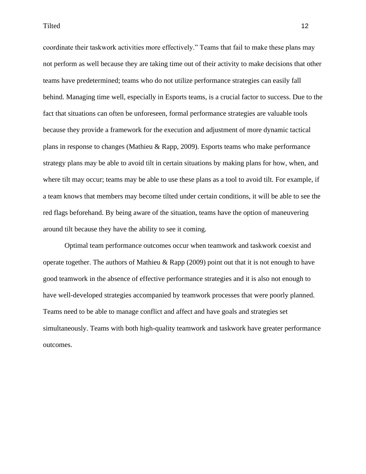Tilted the contract of the contract of the contract of the contract of the contract of the contract of the contract of the contract of the contract of the contract of the contract of the contract of the contract of the con

coordinate their taskwork activities more effectively." Teams that fail to make these plans may not perform as well because they are taking time out of their activity to make decisions that other teams have predetermined; teams who do not utilize performance strategies can easily fall behind. Managing time well, especially in Esports teams, is a crucial factor to success. Due to the fact that situations can often be unforeseen, formal performance strategies are valuable tools because they provide a framework for the execution and adjustment of more dynamic tactical plans in response to changes (Mathieu & Rapp, 2009). Esports teams who make performance strategy plans may be able to avoid tilt in certain situations by making plans for how, when, and where tilt may occur; teams may be able to use these plans as a tool to avoid tilt. For example, if a team knows that members may become tilted under certain conditions, it will be able to see the red flags beforehand. By being aware of the situation, teams have the option of maneuvering around tilt because they have the ability to see it coming.

Optimal team performance outcomes occur when teamwork and taskwork coexist and operate together. The authors of Mathieu & Rapp (2009) point out that it is not enough to have good teamwork in the absence of effective performance strategies and it is also not enough to have well-developed strategies accompanied by teamwork processes that were poorly planned. Teams need to be able to manage conflict and affect and have goals and strategies set simultaneously. Teams with both high-quality teamwork and taskwork have greater performance outcomes.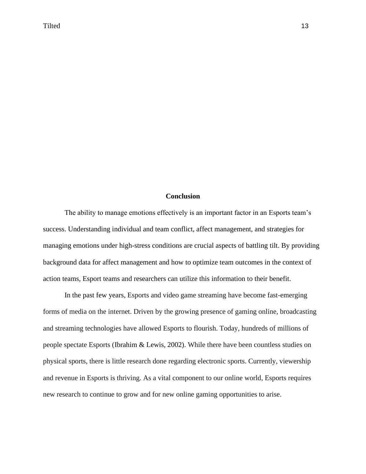## **Conclusion**

The ability to manage emotions effectively is an important factor in an Esports team's success. Understanding individual and team conflict, affect management, and strategies for managing emotions under high-stress conditions are crucial aspects of battling tilt. By providing background data for affect management and how to optimize team outcomes in the context of action teams, Esport teams and researchers can utilize this information to their benefit.

In the past few years, Esports and video game streaming have become fast-emerging forms of media on the internet. Driven by the growing presence of gaming online, broadcasting and streaming technologies have allowed Esports to flourish. Today, hundreds of millions of people spectate Esports (Ibrahim & Lewis, 2002). While there have been countless studies on physical sports, there is little research done regarding electronic sports. Currently, viewership and revenue in Esports is thriving. As a vital component to our online world, Esports requires new research to continue to grow and for new online gaming opportunities to arise.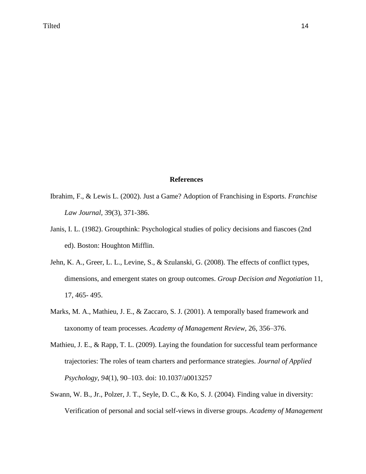## **References**

- Ibrahim, F., & Lewis L. (2002). Just a Game? Adoption of Franchising in Esports. *Franchise Law Journal,* 39(3), 371-386.
- Janis, I. L. (1982). Groupthink: Psychological studies of policy decisions and fiascoes (2nd ed). Boston: Houghton Mifflin.
- Jehn, K. A., Greer, L. L., Levine, S., & Szulanski, G. (2008). The effects of conflict types, dimensions, and emergent states on group outcomes. *Group Decision and Negotiation* 11, 17, 465- 495.
- Marks, M. A., Mathieu, J. E., & Zaccaro, S. J. (2001). A temporally based framework and taxonomy of team processes. *Academy of Management Review,* 26, 356–376.
- Mathieu, J. E., & Rapp, T. L. (2009). Laying the foundation for successful team performance trajectories: The roles of team charters and performance strategies. *Journal of Applied Psychology*, *94*(1), 90–103. doi: 10.1037/a0013257
- Swann, W. B., Jr., Polzer, J. T., Seyle, D. C., & Ko, S. J. (2004). Finding value in diversity: Verification of personal and social self-views in diverse groups. *Academy of Management*